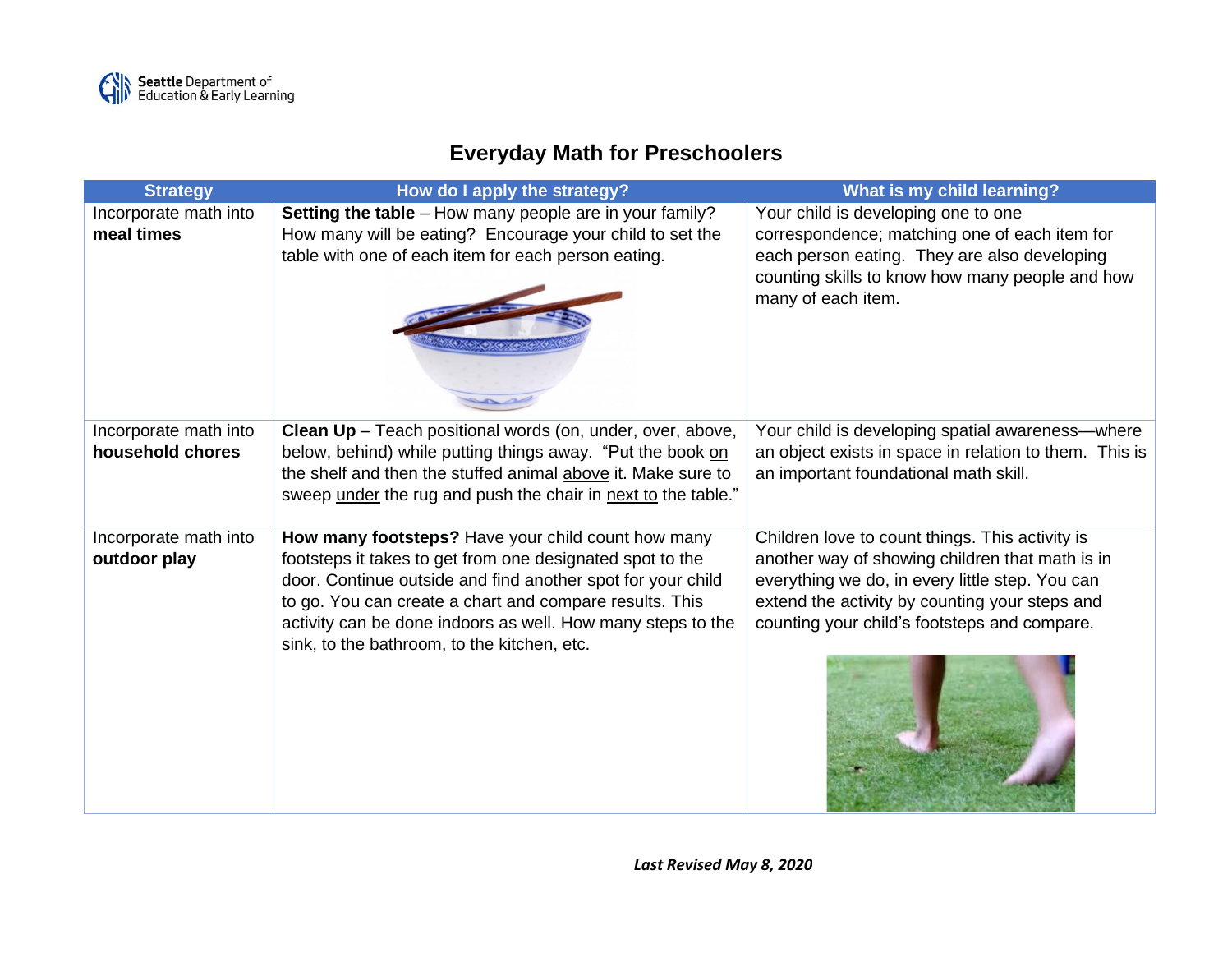## **Everyday Math for Preschoolers**

| <b>Strategy</b>                           | How do I apply the strategy?                                                                                             | What is my child learning?                                                                                 |
|-------------------------------------------|--------------------------------------------------------------------------------------------------------------------------|------------------------------------------------------------------------------------------------------------|
| Incorporate math into                     | Setting the table - How many people are in your family?                                                                  | Your child is developing one to one                                                                        |
| meal times                                | How many will be eating? Encourage your child to set the<br>table with one of each item for each person eating.          | correspondence; matching one of each item for<br>each person eating. They are also developing              |
|                                           |                                                                                                                          | counting skills to know how many people and how                                                            |
|                                           |                                                                                                                          | many of each item.                                                                                         |
|                                           |                                                                                                                          |                                                                                                            |
|                                           |                                                                                                                          |                                                                                                            |
|                                           |                                                                                                                          |                                                                                                            |
|                                           |                                                                                                                          |                                                                                                            |
| Incorporate math into<br>household chores | Clean Up - Teach positional words (on, under, over, above,<br>below, behind) while putting things away. "Put the book on | Your child is developing spatial awareness-where<br>an object exists in space in relation to them. This is |
|                                           | the shelf and then the stuffed animal above it. Make sure to                                                             | an important foundational math skill.                                                                      |
|                                           | sweep under the rug and push the chair in next to the table."                                                            |                                                                                                            |
| Incorporate math into                     | How many footsteps? Have your child count how many                                                                       | Children love to count things. This activity is                                                            |
| outdoor play                              | footsteps it takes to get from one designated spot to the                                                                | another way of showing children that math is in                                                            |
|                                           | door. Continue outside and find another spot for your child<br>to go. You can create a chart and compare results. This   | everything we do, in every little step. You can<br>extend the activity by counting your steps and          |
|                                           | activity can be done indoors as well. How many steps to the                                                              | counting your child's footsteps and compare.                                                               |
|                                           | sink, to the bathroom, to the kitchen, etc.                                                                              |                                                                                                            |
|                                           |                                                                                                                          |                                                                                                            |
|                                           |                                                                                                                          |                                                                                                            |
|                                           |                                                                                                                          |                                                                                                            |
|                                           |                                                                                                                          |                                                                                                            |
|                                           |                                                                                                                          |                                                                                                            |